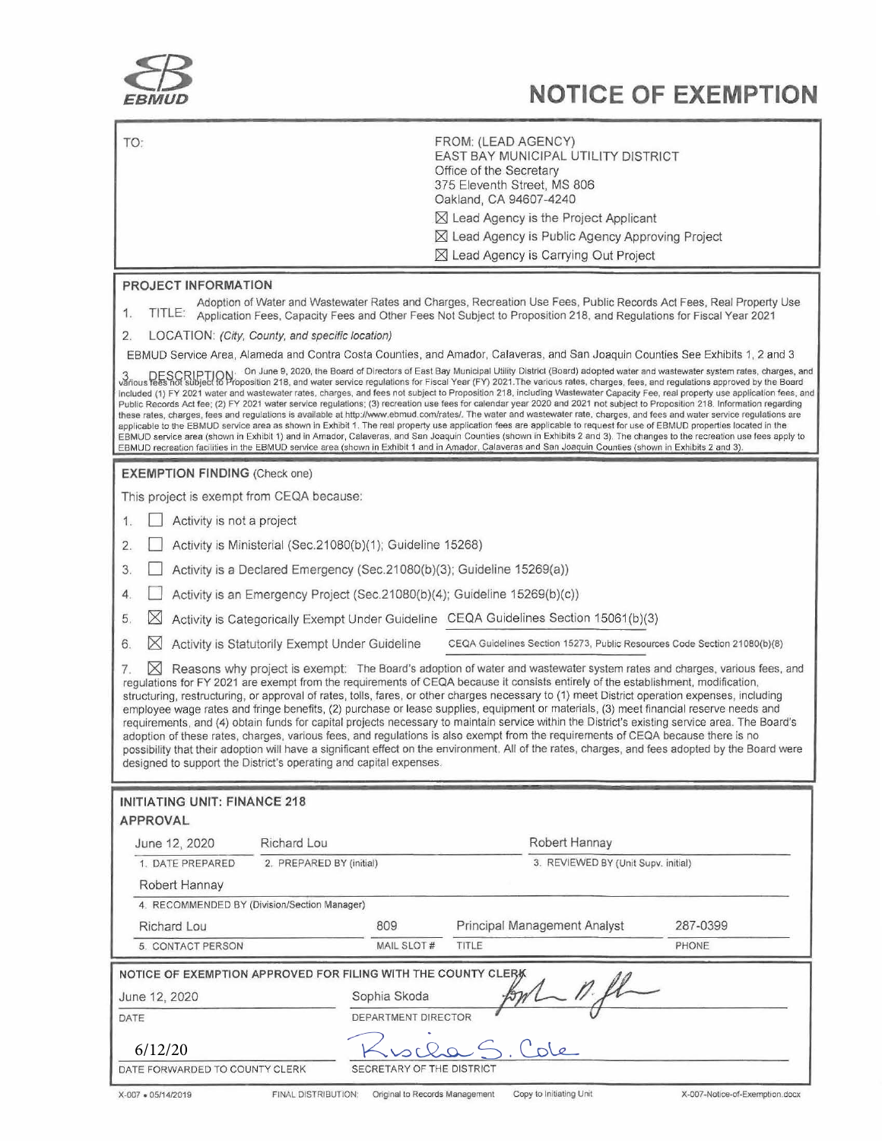

## **EBMUD NOTICE OF EXEMPTION**

| TO:<br>FROM: (LEAD AGENCY)<br>EAST BAY MUNICIPAL UTILITY DISTRICT<br>Office of the Secretary<br>375 Eleventh Street, MS 806<br>Oakland, CA 94607-4240                                                                                                                                                                                                                                                                                                                                                                                                                                                                                                                                                                                                                                                                                                                                                                                                                                                                                                                                                                                                                                                                                                                                                                                                                                                                                |
|--------------------------------------------------------------------------------------------------------------------------------------------------------------------------------------------------------------------------------------------------------------------------------------------------------------------------------------------------------------------------------------------------------------------------------------------------------------------------------------------------------------------------------------------------------------------------------------------------------------------------------------------------------------------------------------------------------------------------------------------------------------------------------------------------------------------------------------------------------------------------------------------------------------------------------------------------------------------------------------------------------------------------------------------------------------------------------------------------------------------------------------------------------------------------------------------------------------------------------------------------------------------------------------------------------------------------------------------------------------------------------------------------------------------------------------|
| ⊠ Lead Agency is the Project Applicant<br>$\boxtimes$ Lead Agency is Public Agency Approving Project<br>⊠ Lead Agency is Carrying Out Project                                                                                                                                                                                                                                                                                                                                                                                                                                                                                                                                                                                                                                                                                                                                                                                                                                                                                                                                                                                                                                                                                                                                                                                                                                                                                        |
|                                                                                                                                                                                                                                                                                                                                                                                                                                                                                                                                                                                                                                                                                                                                                                                                                                                                                                                                                                                                                                                                                                                                                                                                                                                                                                                                                                                                                                      |
| PROJECT INFORMATION<br>Adoption of Water and Wastewater Rates and Charges, Recreation Use Fees, Public Records Act Fees, Real Property Use<br>1.<br>TITLE:<br>Application Fees, Capacity Fees and Other Fees Not Subject to Proposition 218, and Regulations for Fiscal Year 2021                                                                                                                                                                                                                                                                                                                                                                                                                                                                                                                                                                                                                                                                                                                                                                                                                                                                                                                                                                                                                                                                                                                                                    |
| LOCATION: (City, County, and specific location)<br>2.                                                                                                                                                                                                                                                                                                                                                                                                                                                                                                                                                                                                                                                                                                                                                                                                                                                                                                                                                                                                                                                                                                                                                                                                                                                                                                                                                                                |
| EBMUD Service Area, Alameda and Contra Costa Counties, and Amador, Calaveras, and San Joaquin Counties See Exhibits 1, 2 and 3<br>3 DESCRIPTION: On June 9, 2020, the Board of Directors of East Bay Municipal Utility District (Board) adopted water and wastewater system rates, charges, and<br>various fees not subject to Proposition 218, and water service r<br>included (1) FY 2021 water and wastewater rates, charges, and fees not subject to Proposition 218, including Wastewater Capacity Fee, real property use application fees, and<br>Public Records Act fee; (2) FY 2021 water service regulations; (3) recreation use fees for calendar year 2020 and 2021 not subject to Proposition 218. Information regarding<br>these rates, charges, fees and regulations is available at http://www.ebmud.com/rates/. The water and wastewater rate, charges, and fees and water service regulations are<br>applicable to the EBMUD service area as shown in Exhibit 1. The real property use application fees are applicable to request for use of EBMUD properties located in the<br>EBMUD service area (shown in Exhibit 1) and in Amador, Calaveras, and San Joaquin Counties (shown in Exhibits 2 and 3). The changes to the recreation use fees apply to<br>EBMUD recreation facilities in the EBMUD service area (shown in Exhibit 1 and in Amador, Calaveras and San Joaquin Counties (shown in Exhibits 2 and 3). |
| <b>EXEMPTION FINDING (Check one)</b>                                                                                                                                                                                                                                                                                                                                                                                                                                                                                                                                                                                                                                                                                                                                                                                                                                                                                                                                                                                                                                                                                                                                                                                                                                                                                                                                                                                                 |
| This project is exempt from CEQA because:                                                                                                                                                                                                                                                                                                                                                                                                                                                                                                                                                                                                                                                                                                                                                                                                                                                                                                                                                                                                                                                                                                                                                                                                                                                                                                                                                                                            |
| Activity is not a project<br>1.                                                                                                                                                                                                                                                                                                                                                                                                                                                                                                                                                                                                                                                                                                                                                                                                                                                                                                                                                                                                                                                                                                                                                                                                                                                                                                                                                                                                      |
| Activity is Ministerial (Sec.21080(b)(1); Guideline 15268)<br>2.                                                                                                                                                                                                                                                                                                                                                                                                                                                                                                                                                                                                                                                                                                                                                                                                                                                                                                                                                                                                                                                                                                                                                                                                                                                                                                                                                                     |
| Activity is a Declared Emergency (Sec.21080(b)(3); Guideline 15269(a))<br>3.                                                                                                                                                                                                                                                                                                                                                                                                                                                                                                                                                                                                                                                                                                                                                                                                                                                                                                                                                                                                                                                                                                                                                                                                                                                                                                                                                         |
| Activity is an Emergency Project (Sec.21080(b)(4); Guideline 15269(b)(c))<br>4.                                                                                                                                                                                                                                                                                                                                                                                                                                                                                                                                                                                                                                                                                                                                                                                                                                                                                                                                                                                                                                                                                                                                                                                                                                                                                                                                                      |
| Activity is Categorically Exempt Under Guideline CEQA Guidelines Section 15061(b)(3)<br>$\boxtimes$<br>5.                                                                                                                                                                                                                                                                                                                                                                                                                                                                                                                                                                                                                                                                                                                                                                                                                                                                                                                                                                                                                                                                                                                                                                                                                                                                                                                            |
|                                                                                                                                                                                                                                                                                                                                                                                                                                                                                                                                                                                                                                                                                                                                                                                                                                                                                                                                                                                                                                                                                                                                                                                                                                                                                                                                                                                                                                      |
| $\boxtimes$<br>Activity is Statutorily Exempt Under Guideline<br>CEQA Guidelines Section 15273, Public Resources Code Section 21080(b)(8)<br>6.<br>Reasons why project is exempt: The Board's adoption of water and wastewater system rates and charges, various fees, and                                                                                                                                                                                                                                                                                                                                                                                                                                                                                                                                                                                                                                                                                                                                                                                                                                                                                                                                                                                                                                                                                                                                                           |
| $\bowtie$<br>7.<br>regulations for FY 2021 are exempt from the requirements of CEQA because it consists entirely of the establishment, modification,<br>structuring, restructuring, or approval of rates, tolls, fares, or other charges necessary to (1) meet District operation expenses, including<br>employee wage rates and fringe benefits, (2) purchase or lease supplies, equipment or materials, (3) meet financial reserve needs and<br>requirements, and (4) obtain funds for capital projects necessary to maintain service within the District's existing service area. The Board's<br>adoption of these rates, charges, various fees, and regulations is also exempt from the requirements of CEQA because there is no<br>possibility that their adoption will have a significant effect on the environment. All of the rates, charges, and fees adopted by the Board were<br>designed to support the District's operating and capital expenses.                                                                                                                                                                                                                                                                                                                                                                                                                                                                       |
| <b>INITIATING UNIT: FINANCE 218</b>                                                                                                                                                                                                                                                                                                                                                                                                                                                                                                                                                                                                                                                                                                                                                                                                                                                                                                                                                                                                                                                                                                                                                                                                                                                                                                                                                                                                  |
| <b>APPROVAL</b>                                                                                                                                                                                                                                                                                                                                                                                                                                                                                                                                                                                                                                                                                                                                                                                                                                                                                                                                                                                                                                                                                                                                                                                                                                                                                                                                                                                                                      |
| Richard Lou<br>Robert Hannay<br>June 12, 2020                                                                                                                                                                                                                                                                                                                                                                                                                                                                                                                                                                                                                                                                                                                                                                                                                                                                                                                                                                                                                                                                                                                                                                                                                                                                                                                                                                                        |
| 3. REVIEWED BY (Unit Supv. initial)<br>1. DATE PREPARED<br>2. PREPARED BY (initial)                                                                                                                                                                                                                                                                                                                                                                                                                                                                                                                                                                                                                                                                                                                                                                                                                                                                                                                                                                                                                                                                                                                                                                                                                                                                                                                                                  |
| Robert Hannay                                                                                                                                                                                                                                                                                                                                                                                                                                                                                                                                                                                                                                                                                                                                                                                                                                                                                                                                                                                                                                                                                                                                                                                                                                                                                                                                                                                                                        |
| 4. RECOMMENDED BY (Division/Section Manager)<br>287-0399                                                                                                                                                                                                                                                                                                                                                                                                                                                                                                                                                                                                                                                                                                                                                                                                                                                                                                                                                                                                                                                                                                                                                                                                                                                                                                                                                                             |
| Principal Management Analyst<br>Richard Lou<br>809<br>MAIL SLOT #<br>TITLE<br>PHONE<br>5. CONTACT PERSON                                                                                                                                                                                                                                                                                                                                                                                                                                                                                                                                                                                                                                                                                                                                                                                                                                                                                                                                                                                                                                                                                                                                                                                                                                                                                                                             |
|                                                                                                                                                                                                                                                                                                                                                                                                                                                                                                                                                                                                                                                                                                                                                                                                                                                                                                                                                                                                                                                                                                                                                                                                                                                                                                                                                                                                                                      |
| NOTICE OF EXEMPTION APPROVED FOR FILING WITH THE COUNTY CLERK                                                                                                                                                                                                                                                                                                                                                                                                                                                                                                                                                                                                                                                                                                                                                                                                                                                                                                                                                                                                                                                                                                                                                                                                                                                                                                                                                                        |
| Sophia Skoda<br>June 12, 2020                                                                                                                                                                                                                                                                                                                                                                                                                                                                                                                                                                                                                                                                                                                                                                                                                                                                                                                                                                                                                                                                                                                                                                                                                                                                                                                                                                                                        |
| DEPARTMENT DIRECTOR<br>DATE                                                                                                                                                                                                                                                                                                                                                                                                                                                                                                                                                                                                                                                                                                                                                                                                                                                                                                                                                                                                                                                                                                                                                                                                                                                                                                                                                                                                          |
| 6/12/20<br>SECRETARY OF THE DISTRICT<br>DATE FORWARDED TO COUNTY CLERK                                                                                                                                                                                                                                                                                                                                                                                                                                                                                                                                                                                                                                                                                                                                                                                                                                                                                                                                                                                                                                                                                                                                                                                                                                                                                                                                                               |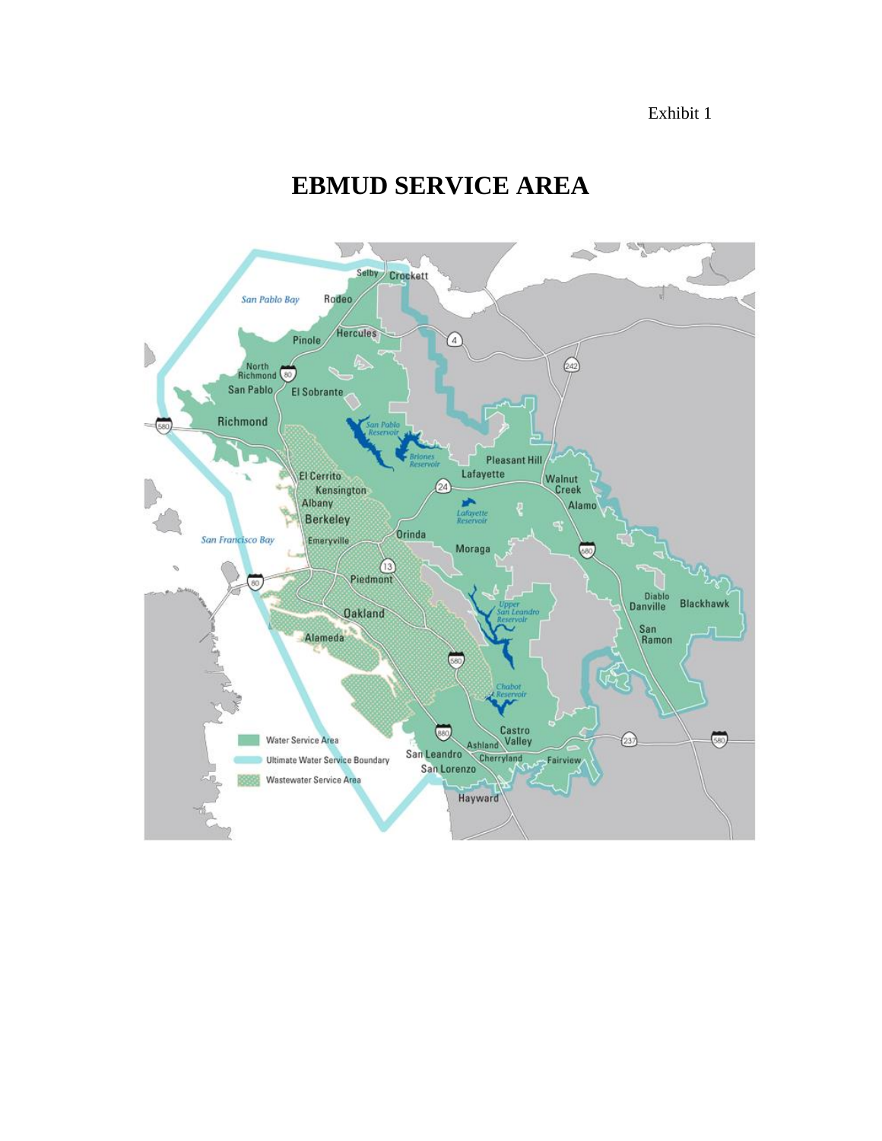Exhibit 1

## **EBMUD SERVICE AREA**

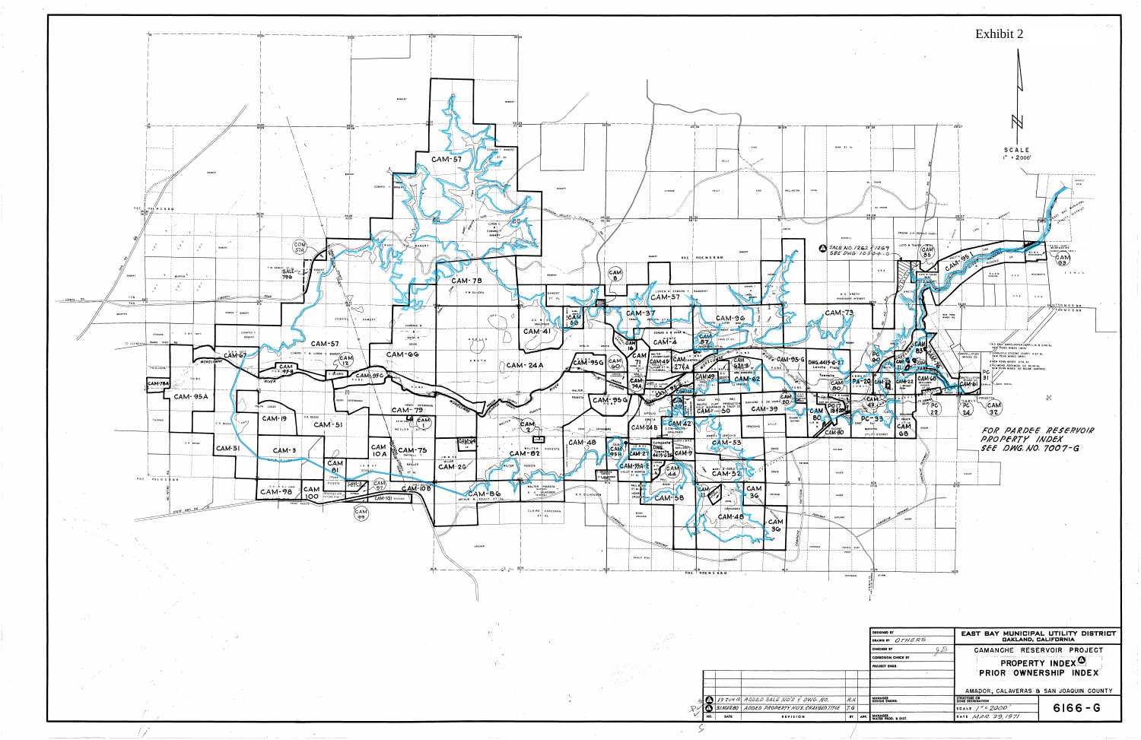